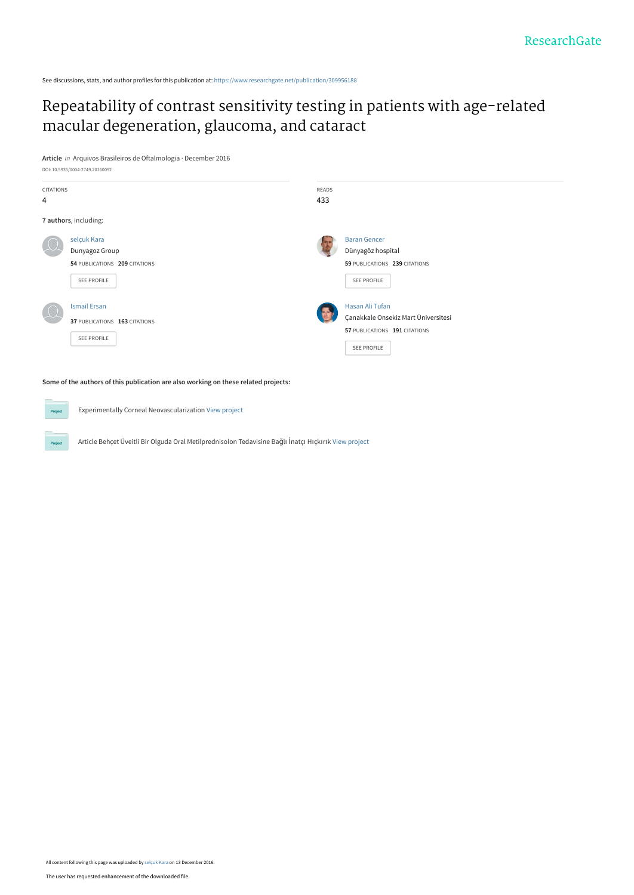See discussions, stats, and author profiles for this publication at: [https://www.researchgate.net/publication/309956188](https://www.researchgate.net/publication/309956188_Repeatability_of_contrast_sensitivity_testing_in_patients_with_age-related_macular_degeneration_glaucoma_and_cataract?enrichId=rgreq-58c83e00499dfd77fc372969f62241c3-XXX&enrichSource=Y292ZXJQYWdlOzMwOTk1NjE4ODtBUzo0Mzg3MTgzNTcwODYyMDhAMTQ4MTYxMDAxNTcxOQ%3D%3D&el=1_x_2&_esc=publicationCoverPdf)

# [Repeatability of contrast sensitivity testing in patients with age-related](https://www.researchgate.net/publication/309956188_Repeatability_of_contrast_sensitivity_testing_in_patients_with_age-related_macular_degeneration_glaucoma_and_cataract?enrichId=rgreq-58c83e00499dfd77fc372969f62241c3-XXX&enrichSource=Y292ZXJQYWdlOzMwOTk1NjE4ODtBUzo0Mzg3MTgzNTcwODYyMDhAMTQ4MTYxMDAxNTcxOQ%3D%3D&el=1_x_3&_esc=publicationCoverPdf) macular degeneration, glaucoma, and cataract

**Article** in Arquivos Brasileiros de Oftalmologia · December 2016



**Some of the authors of this publication are also working on these related projects:**

Experimentally Corneal Neovascularization [View project](https://www.researchgate.net/project/Experimentally-Corneal-Neovascularization?enrichId=rgreq-58c83e00499dfd77fc372969f62241c3-XXX&enrichSource=Y292ZXJQYWdlOzMwOTk1NjE4ODtBUzo0Mzg3MTgzNTcwODYyMDhAMTQ4MTYxMDAxNTcxOQ%3D%3D&el=1_x_9&_esc=publicationCoverPdf)  $Pro$ 

Project

Article Behçet Üveitli Bir Olguda Oral Metilprednisolon Tedavisine Bağlı İnatçı Hıçkırık [View project](https://www.researchgate.net/project/Article-Behcet-Ueveitli-Bir-Olguda-Oral-Metilprednisolon-Tedavisine-Bagli-Inatci-Hickirik?enrichId=rgreq-58c83e00499dfd77fc372969f62241c3-XXX&enrichSource=Y292ZXJQYWdlOzMwOTk1NjE4ODtBUzo0Mzg3MTgzNTcwODYyMDhAMTQ4MTYxMDAxNTcxOQ%3D%3D&el=1_x_9&_esc=publicationCoverPdf)

All content following this page was uploaded by [selçuk Kara](https://www.researchgate.net/profile/Selcuk_Kara?enrichId=rgreq-58c83e00499dfd77fc372969f62241c3-XXX&enrichSource=Y292ZXJQYWdlOzMwOTk1NjE4ODtBUzo0Mzg3MTgzNTcwODYyMDhAMTQ4MTYxMDAxNTcxOQ%3D%3D&el=1_x_10&_esc=publicationCoverPdf) on 13 December 2016.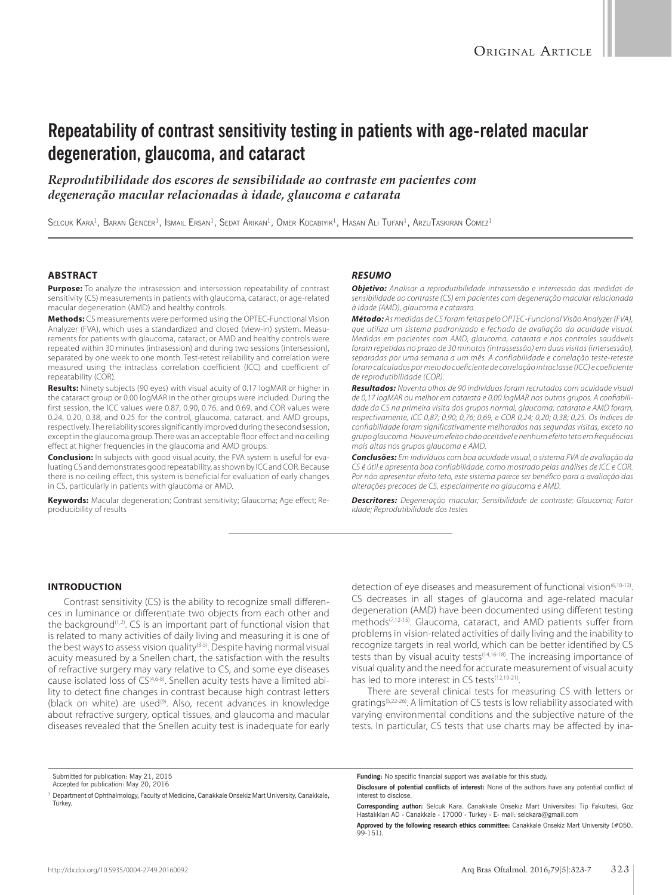# **Repeatability of contrast sensitivity testing in patients with age-related macular degeneration, glaucoma, and cataract**

*Reprodutibilidade dos escores de sensibilidade ao contraste em pacientes com degeneração macular relacionadas à idade, glaucoma e catarata*

SELCUK KARA<sup>1</sup>, BARAN GENCER<sup>1</sup>, ISMAIL ERSAN<sup>1</sup>, SEDAT ARIKAN<sup>1</sup>, OMER KOCABIYIK<sup>1</sup>, HASAN ALI TUFAN<sup>1</sup>, ARZUTASKIRAN COMEZ<sup>1</sup>

## **ABSTRACT**

**Purpose:** To analyze the intrasession and intersession repeatability of contrast sensitivity (CS) measurements in patients with glaucoma, cataract, or age-related macular degeneration (AMD) and healthy controls.

**Methods:** CS measurements were performed using the OPTEC-Functional Vision Analyzer (FVA), which uses a standardized and closed (view-in) system. Measurements for patients with glaucoma, cataract, or AMD and healthy controls were repeated within 30 minutes (intrasession) and during two sessions (intersession), separated by one week to one month. Test-retest reliability and correlation were measured using the intraclass correlation coefficient (ICC) and coefficient of repeatability (COR).

**Results:** Ninety subjects (90 eyes) with visual acuity of 0.17 logMAR or higher in the cataract group or 0.00 logMAR in the other groups were included. During the first session, the ICC values were 0.87, 0.90, 0.76, and 0.69, and COR values were 0.24, 0.20, 0.38, and 0.25 for the control, glaucoma, cataract, and AMD groups, respectively. The reliability scores significantly improved during the second session, except in the glaucoma group. There was an acceptable floor effect and no ceiling effect at higher frequencies in the glaucoma and AMD groups.

**Conclusion:** In subjects with good visual acuity, the FVA system is useful for evaluating CS and demonstrates good repeatability, as shown by ICC and COR. Because there is no ceiling effect, this system is beneficial for evaluation of early changes in CS, particularly in patients with glaucoma or AMD.

**Keywords:** Macular degeneration; Contrast sensitivity; Glaucoma; Age effect; Reproducibility of results

### *RESUMO*

*Objetivo: Analisar a reprodutibilidade intrassessão e intersessão das medidas de sensibilidade ao contraste (CS) em pacientes com degeneração macular relacionada à idade (AMD), glaucoma e catarata.* 

*Método: As medidas de CS foram feitas pelo OPTEC-Funcional Visão Analyzer (FVA), que utiliza um sistema padronizado e fechado de avaliação da acuidade visual. Medidas em pacientes com AMD, glaucoma, catarata e nos controles saudáveis foram repetidas no prazo de 30 minutos (intrassessão) em duas visitas (intersessão), separadas por uma semana a um mês. A confiabilidade e correlação teste-reteste foram calculados por meio do coeficiente de correlação intraclasse (ICC) e coeficiente de reprodutibilidade (COR).* 

*Resultados: Noventa olhos de 90 indivíduos foram recrutados com acuidade visual de 0,17 logMAR ou melhor em catarata e 0,00 logMAR nos outros grupos. A confiabilidade da CS na primeira visita dos grupos normal, glaucoma, catarata e AMD foram, respectivamente, ICC 0,87; 0,90; 0,76; 0,69, e COR 0,24; 0,20; 0,38; 0,25. Os índices de confiabilidade foram significativamente melhorados nas segundas visitas, exceto no grupo glaucoma. Houve um efeito chão aceitável e nenhum efeito teto em frequências mais altas nos grupos glaucoma e AMD.* 

*Conclusões: Em indivíduos com boa acuidade visual, o sistema FVA de avaliação da CS é útil e apresenta boa confiabilidade, como mostrado pelas análises de ICC e COR. Por não apresentar efeito teto, este sistema parece ser benéfico para a avaliação das alterações precoces de CS, especialmente no glaucoma e AMD.*

*Descritores: Degeneração macular; Sensibilidade de contraste; Glaucoma; Fator idade; Reprodutibilidade dos testes*

#### **INTRODUCTION**

Contrast sensitivity (CS) is the ability to recognize small differences in luminance or differentiate two objects from each other and the background<sup>(1,2)</sup>. CS is an important part of functional vision that is related to many activities of daily living and measuring it is one of the best ways to assess vision quality<sup>(3-5)</sup>. Despite having normal visual acuity measured by a Snellen chart, the satisfaction with the results of refractive surgery may vary relative to CS, and some eye diseases cause isolated loss of CS(4,6-8). Snellen acuity tests have a limited ability to detect fine changes in contrast because high contrast letters (black on white) are used<sup>(9)</sup>. Also, recent advances in knowledge about refractive surgery, optical tissues, and glaucoma and macular diseases revealed that the Snellen acuity test is inadequate for early

detection of eye diseases and measurement of functional vision $(6,10-12)$ . CS decreases in all stages of glaucoma and age-related macular degeneration (AMD) have been documented using different testing methods(7,12-15). Glaucoma, cataract, and AMD patients suffer from problems in vision-related activities of daily living and the inability to recognize targets in real world, which can be better identified by CS tests than by visual acuity tests(14,16-18). The increasing importance of visual quality and the need for accurate measurement of visual acuity has led to more interest in CS tests<sup>(12,19-21)</sup>.

There are several clinical tests for measuring CS with letters or gratings(5,22-26). A limitation of CS tests is low reliability associated with varying environmental conditions and the subjective nature of the tests. In particular, CS tests that use charts may be affected by ina-

Submitted for publication: May 21, 2015

Accepted for publication: May 20, 2016

<sup>&</sup>lt;sup>1</sup> Department of Ophthalmology, Faculty of Medicine, Canakkale Onsekiz Mart University, Canakkale, Turkey.

**Funding:** No specific financial support was available for this study.

**Disclosure of potential conflicts of interest:** None of the authors have any potential conflict of interest to disclose.

**Corresponding author:** Selcuk Kara. Canakkale Onsekiz Mart Universitesi Tip Fakultesi, Goz Hastalıkları AD - Canakkale - 17000 - Turkey - E- mail: selckara@gmail.com

**Approved by the following research ethics committee:** Canakkale Onsekiz Mart University (#050. 99-151).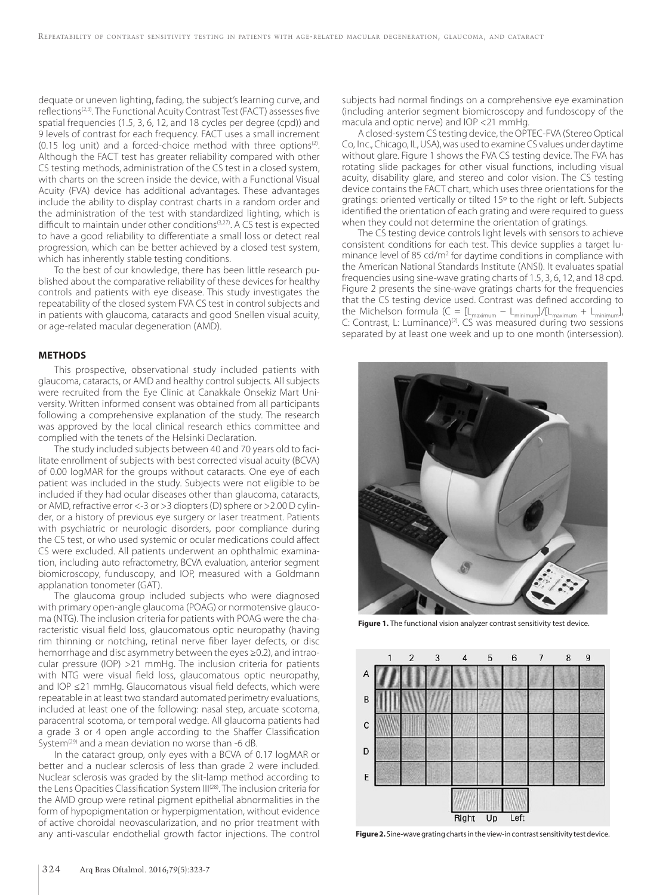dequate or uneven lighting, fading, the subject's learning curve, and reflections<sup>(2,3)</sup>. The Functional Acuity Contrast Test (FACT) assesses five spatial frequencies (1.5, 3, 6, 12, and 18 cycles per degree (cpd)) and 9 levels of contrast for each frequency. FACT uses a small increment (0.15 log unit) and a forced-choice method with three options<sup> $(2)$ </sup>. Although the FACT test has greater reliability compared with other CS testing methods, administration of the CS test in a closed system, with charts on the screen inside the device, with a Functional Visual Acuity (FVA) device has additional advantages. These advantages include the ability to display contrast charts in a random order and the administration of the test with standardized lighting, which is difficult to maintain under other conditions<sup>(3,27)</sup>. A CS test is expected to have a good reliability to differentiate a small loss or detect real progression, which can be better achieved by a closed test system, which has inherently stable testing conditions.

To the best of our knowledge, there has been little research published about the comparative reliability of these devices for healthy controls and patients with eye disease. This study investigates the repeatability of the closed system FVA CS test in control subjects and in patients with glaucoma, cataracts and good Snellen visual acuity, or age-related macular degeneration (AMD).

### **METHODS**

This prospective, observational study included patients with glaucoma, cataracts, or AMD and healthy control subjects. All subjects were recruited from the Eye Clinic at Canakkale Onsekiz Mart University. Written informed consent was obtained from all participants following a comprehensive explanation of the study. The research was approved by the local clinical research ethics committee and complied with the tenets of the Helsinki Declaration.

The study included subjects between 40 and 70 years old to facilitate enrollment of subjects with best corrected visual acuity (BCVA) of 0.00 logMAR for the groups without cataracts. One eye of each patient was included in the study. Subjects were not eligible to be included if they had ocular diseases other than glaucoma, cataracts, or AMD, refractive error <-3 or >3 diopters (D) sphere or >2.00 D cylinder, or a history of previous eye surgery or laser treatment. Patients with psychiatric or neurologic disorders, poor compliance during the CS test, or who used systemic or ocular medications could affect CS were excluded. All patients underwent an ophthalmic examination, including auto refractometry, BCVA evaluation, anterior segment biomicroscopy, funduscopy, and IOP, measured with a Goldmann applanation tonometer (GAT).

The glaucoma group included subjects who were diagnosed with primary open-angle glaucoma (POAG) or normotensive glaucoma (NTG). The inclusion criteria for patients with POAG were the characteristic visual field loss, glaucomatous optic neuropathy (having rim thinning or notching, retinal nerve fiber layer defects, or disc hemorrhage and disc asymmetry between the eyes ≥0.2), and intraocular pressure (IOP) >21 mmHg. The inclusion criteria for patients with NTG were visual field loss, glaucomatous optic neuropathy, and IOP ≤21 mmHg. Glaucomatous visual field defects, which were repeatable in at least two standard automated perimetry evaluations, included at least one of the following: nasal step, arcuate scotoma, paracentral scotoma, or temporal wedge. All glaucoma patients had a grade 3 or 4 open angle according to the Shaffer Classification System<sup>(29)</sup> and a mean deviation no worse than -6 dB.

In the cataract group, only eyes with a BCVA of 0.17 logMAR or better and a nuclear sclerosis of less than grade 2 were included. Nuclear sclerosis was graded by the slit-lamp method according to the Lens Opacities Classification System III(28). The inclusion criteria for the AMD group were retinal pigment epithelial abnormalities in the form of hypopigmentation or hyperpigmentation, without evidence of active choroidal neovascularization, and no prior treatment with any anti-vascular endothelial growth factor injections. The control

subjects had normal findings on a comprehensive eye examination (including anterior segment biomicroscopy and fundoscopy of the macula and optic nerve) and IOP <21 mmHg.

A closed-system CS testing device, the OPTEC-FVA (Stereo Optical Co, Inc., Chicago, IL, USA), was used to examine CS values under daytime without glare*.* Figure 1 shows the FVA CS testing device. The FVA has rotating slide packages for other visual functions, including visual acuity, disability glare, and stereo and color vision. The CS testing device contains the FACT chart, which uses three orientations for the gratings: oriented vertically or tilted 15º to the right or left. Subjects identified the orientation of each grating and were required to guess when they could not determine the orientation of gratings.

The CS testing device controls light levels with sensors to achieve consistent conditions for each test. This device supplies a target luminance level of 85 cd/m<sup>2</sup> for daytime conditions in compliance with the American National Standards Institute (ANSI). It evaluates spatial frequencies using sine-wave grating charts of 1.5, 3, 6, 12, and 18 cpd. Figure 2 presents the sine-wave gratings charts for the frequencies that the CS testing device used. Contrast was defined according to the Michelson formula (C =  $[L_{\text{maximum}} - L_{\text{minimum}}]/[L_{\text{maximum}} + L_{\text{minimum}}]$ , C: Contrast, L: Luminance)(2). CS was measured during two sessions separated by at least one week and up to one month (intersession).



**Figure 1.** The functional vision analyzer contrast sensitivity test device.



**Figure 2.** Sine-wave grating charts in the view-in contrast sensitivity test device.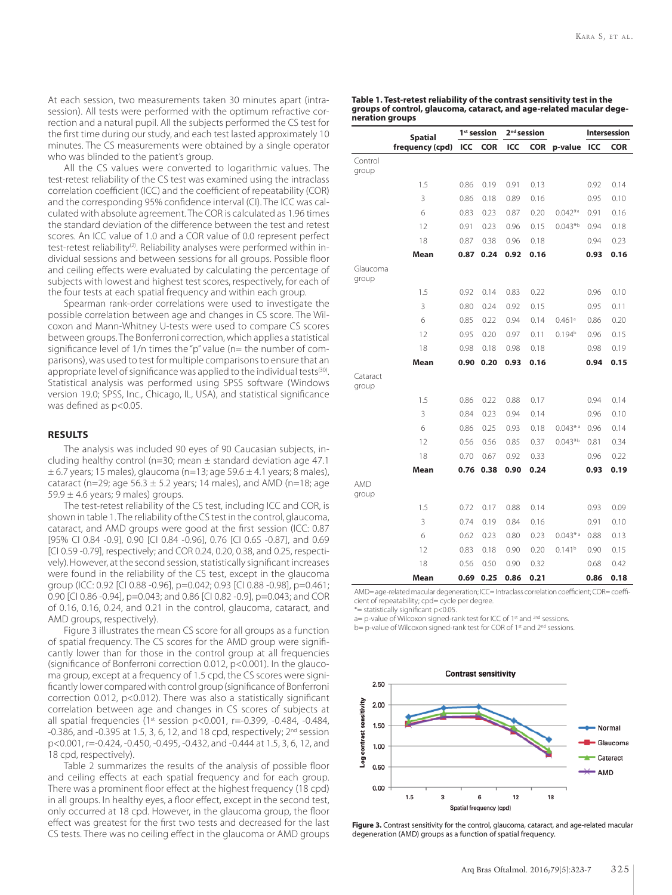At each session, two measurements taken 30 minutes apart (intrasession). All tests were performed with the optimum refractive correction and a natural pupil. All the subjects performed the CS test for the first time during our study, and each test lasted approximately 10 minutes. The CS measurements were obtained by a single operator who was blinded to the patient's group.

All the CS values were converted to logarithmic values. The test-retest reliability of the CS test was examined using the intraclass correlation coefficient (ICC) and the coefficient of repeatability (COR) and the corresponding 95% confidence interval (CI). The ICC was calculated with absolute agreement. The COR is calculated as 1.96 times the standard deviation of the difference between the test and retest scores. An ICC value of 1.0 and a COR value of 0.0 represent perfect test-retest reliability<sup>(2)</sup>. Reliability analyses were performed within individual sessions and between sessions for all groups. Possible floor and ceiling effects were evaluated by calculating the percentage of subjects with lowest and highest test scores, respectively, for each of the four tests at each spatial frequency and within each group.

Spearman rank-order correlations were used to investigate the possible correlation between age and changes in CS score. The Wilcoxon and Mann-Whitney U-tests were used to compare CS scores between groups. The Bonferroni correction, which applies a statistical significance level of 1/n times the "p" value (n= the number of comparisons), was used to test for multiple comparisons to ensure that an appropriate level of significance was applied to the individual tests<sup>(30)</sup>. Statistical analysis was performed using SPSS software (Windows version 19.0; SPSS, Inc., Chicago, IL, USA), and statistical significance was defined as p<0.05.

# **RESULTS**

The analysis was included 90 eyes of 90 Caucasian subjects, including healthy control (n=30; mean ± standard deviation age 47.1  $\pm$  6.7 years; 15 males), glaucoma (n=13; age 59.6  $\pm$  4.1 years; 8 males), cataract (n=29; age 56.3  $\pm$  5.2 years; 14 males), and AMD (n=18; age 59.9  $\pm$  4.6 years; 9 males) groups.

The test-retest reliability of the CS test, including ICC and COR, is shown in table 1. The reliability of the CS test in the control, glaucoma, cataract, and AMD groups were good at the first session (ICC: 0.87 [95% CI 0.84 -0.9], 0.90 [CI 0.84 -0.96], 0.76 [CI 0.65 -0.87], and 0.69 [CI 0.59 -0.79], respectively; and COR 0.24, 0.20, 0.38, and 0.25, respectively). However, at the second session, statistically significant increases were found in the reliability of the CS test, except in the glaucoma group (ICC: 0.92 [CI 0.88 -0.96], p=0.042; 0.93 [CI 0.88 -0.98], p=0.461; 0.90 [CI 0.86 -0.94], p=0.043; and 0.86 [CI 0.82 -0.9], p=0.043; and COR of 0.16, 0.16, 0.24, and 0.21 in the control, glaucoma, cataract, and AMD groups, respectively).

Figure 3 illustrates the mean CS score for all groups as a function of spatial frequency. The CS scores for the AMD group were significantly lower than for those in the control group at all frequencies (significance of Bonferroni correction 0.012, p<0.001). In the glaucoma group, except at a frequency of 1.5 cpd, the CS scores were significantly lower compared with control group (significance of Bonferroni correction 0.012, p<0.012). There was also a statistically significant correlation between age and changes in CS scores of subjects at all spatial frequencies (1<sup>st</sup> session p<0.001, r=-0.399, -0.484, -0.484, -0.386, and -0.395 at 1.5, 3, 6, 12, and 18 cpd, respectively; 2<sup>nd</sup> session p<0.001, r=-0.424, -0.450, -0.495, -0.432, and -0.444 at 1.5, 3, 6, 12, and 18 cpd, respectively).

Table 2 summarizes the results of the analysis of possible floor and ceiling effects at each spatial frequency and for each group. There was a prominent floor effect at the highest frequency (18 cpd) in all groups. In healthy eyes, a floor effect, except in the second test, only occurred at 18 cpd. However, in the glaucoma group, the floor effect was greatest for the first two tests and decreased for the last CS tests. There was no ceiling effect in the glaucoma or AMD groups

| Table 1. Test-retest reliability of the contrast sensitivity test in the |  |
|--------------------------------------------------------------------------|--|
| groups of control, glaucoma, cataract, and age-related macular dege-     |  |
| neration groups                                                          |  |

|                   | <b>Spatial</b>  | 1 <sup>st</sup> session |            | 2 <sup>nd</sup> session |      |                       | <b>Intersession</b> |            |
|-------------------|-----------------|-------------------------|------------|-------------------------|------|-----------------------|---------------------|------------|
|                   | frequency (cpd) | ICC                     | <b>COR</b> | ICC                     |      | COR p-value           | ICC                 | <b>COR</b> |
| Control<br>group  |                 |                         |            |                         |      |                       |                     |            |
|                   | 1.5             | 0.86                    | 0.19       | 0.91                    | 0.13 |                       | 0.92                | 0.14       |
|                   | 3               | 0.86                    | 0.18       | 0.89                    | 0.16 |                       | 0.95                |            |
|                   | 6               |                         |            |                         |      | $0.042^{*a}$          |                     | 0.10       |
|                   |                 | 0.83                    | 0.23       | 0.87                    | 0.20 |                       | 0.91                | 0.16       |
|                   | 12              | 0.91                    | 0.23       | 0.96                    | 0.15 | $0.043*b$             | 0.94                | 0.18       |
|                   | 18              | 0.87                    | 0.38       | 0.96                    | 0.18 |                       | 0.94                | 0.23       |
|                   | Mean            | 0.87                    | 0.24       | 0.92                    | 0.16 |                       | 0.93                | 0.16       |
| Glaucoma<br>group |                 |                         |            |                         |      |                       |                     |            |
|                   | 1.5             | 0.92                    | 0.14       | 0.83                    | 0.22 |                       | 0.96                | 0.10       |
|                   | 3               | 0.80                    | 0.24       | 0.92                    | 0.15 |                       | 0.95                | 0.11       |
|                   | 6               | 0.85                    | 0.22       | 0.94                    | 0.14 | $0.461$ <sup>a</sup>  | 0.86                | 0.20       |
|                   | 12              | 0.95                    | 0.20       | 0.97                    | 0.11 | 0.194 <sup>b</sup>    | 0.96                | 0.15       |
|                   | 18              | 0.98                    | 0.18       | 0.98                    | 0.18 |                       | 0.98                | 0.19       |
|                   | Mean            | 0.90                    | 0.20       | 0.93                    | 0.16 |                       | 0.94                | 0.15       |
| Cataract<br>group |                 |                         |            |                         |      |                       |                     |            |
|                   | 1.5             | 0.86                    | 0.22       | 0.88                    | 0.17 |                       | 0.94                | 0.14       |
|                   | 3               | 0.84                    | 0.23       | 0.94                    | 0.14 |                       | 0.96                | 0.10       |
|                   | 6               | 0.86                    | 0.25       | 0.93                    | 0.18 | $0.043*$ <sup>a</sup> | 0.96                | 0.14       |
|                   | 12              | 0.56                    | 0.56       | 0.85                    | 0.37 | $0.043*b$             | 0.81                | 0.34       |
|                   | 18              | 0.70                    | 0.67       | 0.92                    | 0.33 |                       | 0.96                | 0.22       |
|                   | Mean            | 0.76                    | 0.38       | 0.90                    | 0.24 |                       | 0.93                | 0.19       |
| AMD               |                 |                         |            |                         |      |                       |                     |            |
| group             |                 |                         |            |                         |      |                       |                     |            |
|                   | 1.5             | 0.72                    | 0.17       | 0.88                    | 0.14 |                       | 0.93                | 0.09       |
|                   | 3               | 0.74                    | 0.19       | 0.84                    | 0.16 |                       | 0.91                | 0.10       |
|                   | 6               | 0.62                    | 0.23       | 0.80                    | 0.23 | $0.043*$ <sup>a</sup> | 0.88                | 0.13       |
|                   | 12              | 0.83                    | 0.18       | 0.90                    | 0.20 | 0.141 <sup>b</sup>    | 0.90                | 0.15       |
|                   | 18              | 0.56                    | 0.50       | 0.90                    | 0.32 |                       | 0.68                | 0.42       |
|                   | Mean            | 0.69                    | 0.25       | 0.86                    | 0.21 |                       | 0.86                | 0.18       |

AMD= age-related macular degeneration; ICC= Intraclass correlation coefficient; COR= coefficient of repeatability; cpd= cycle per degree.

\*= statistically significant p<0.05.

a= p-value of Wilcoxon signed-rank test for ICC of 1<sup>st</sup> and <sup>2nd</sup> sessions.

b= p-value of Wilcoxon signed-rank test for COR of 1<sup>st</sup> and 2<sup>nd</sup> sessions.



Figure 3. Contrast sensitivity for the control, glaucoma, cataract, and age-related macular degeneration (AMD) groups as a function of spatial frequency.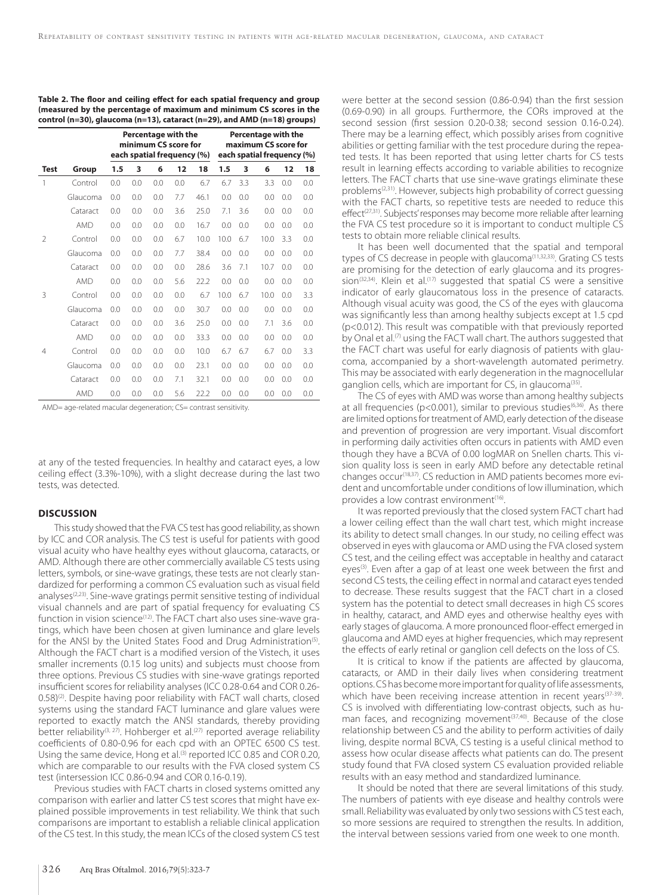|               |            | Percentage with the<br>minimum CS score for<br>each spatial frequency (%) |     |     |     | Percentage with the<br>maximum CS score for<br>each spatial frequency (%) |      |     |      |     |     |
|---------------|------------|---------------------------------------------------------------------------|-----|-----|-----|---------------------------------------------------------------------------|------|-----|------|-----|-----|
| Test          | Group      | 1.5                                                                       | 3   | 6   | 12  | 18                                                                        | 1.5  | 3   | 6    | 12  | 18  |
| 1             | Control    | 0.0                                                                       | 0.0 | 0.0 | 0.0 | 6.7                                                                       | 6.7  | 3.3 | 3.3  | 0.0 | 0.0 |
|               | Glaucoma   | 0.0                                                                       | 0.0 | 0.0 | 7.7 | 46.1                                                                      | 0.0  | 0.0 | 0.0  | 0.0 | 0.0 |
|               | Cataract   | 0.0                                                                       | 0.0 | 0.0 | 3.6 | 25.0                                                                      | 7.1  | 3.6 | 0.0  | 0.0 | 0.0 |
|               | <b>AMD</b> | 0.0                                                                       | 0.0 | 0.0 | 0.0 | 16.7                                                                      | 0.0  | 0.0 | 0.0  | 0.0 | 0.0 |
| $\mathcal{P}$ | Control    | 0.0                                                                       | 0.0 | 0.0 | 6.7 | 10.0                                                                      | 10.0 | 6.7 | 10.0 | 3.3 | 0.0 |
|               | Glaucoma   | 0.0                                                                       | 0.0 | 0.0 | 7.7 | 38.4                                                                      | 0.0  | 0.0 | 0.0  | 0.0 | 0.0 |
|               | Cataract   | 0.0                                                                       | 0.0 | 0.0 | 0.0 | 28.6                                                                      | 3.6  | 7.1 | 10.7 | 0.0 | 0.0 |
|               | <b>AMD</b> | 0.0                                                                       | 0.0 | 0.0 | 5.6 | 22.2                                                                      | 0.0  | 0.0 | 0.0  | 0.0 | 0.0 |
| 3             | Control    | 0.0                                                                       | 0.0 | 0.0 | 0.0 | 6.7                                                                       | 10.0 | 6.7 | 10.0 | 0.0 | 3.3 |
|               | Glaucoma   | 0.0                                                                       | 0.0 | 0.0 | 0.0 | 30.7                                                                      | 0.0  | 0.0 | 0.0  | 0.0 | 0.0 |
|               | Cataract   | 0.0                                                                       | 0.0 | 0.0 | 3.6 | 25.0                                                                      | 0.0  | 0.0 | 7.1  | 3.6 | 0.0 |
|               | <b>AMD</b> | 0.0                                                                       | 0.0 | 0.0 | 0.0 | 33.3                                                                      | 0.0  | 0.0 | 0.0  | 0.0 | 0.0 |
| 4             | Control    | 0.0                                                                       | 0.0 | 0.0 | 0.0 | 10.0                                                                      | 6.7  | 6.7 | 6.7  | 0.0 | 3.3 |
|               | Glaucoma   | 0.0                                                                       | 0.0 | 0.0 | 0.0 | 23.1                                                                      | 0.0  | 0.0 | 0.0  | 0.0 | 0.0 |
|               | Cataract   | 0.0                                                                       | 0.0 | 0.0 | 7.1 | 32.1                                                                      | 0.0  | 0.0 | 0.0  | 0.0 | 0.0 |
|               | <b>AMD</b> | 0.0                                                                       | 0.0 | 0.0 | 5.6 | 22.2                                                                      | 0.0  | 0.0 | 0.0  | 0.0 | 0.0 |

**Table 2. The floor and ceiling effect for each spatial frequency and group (measured by the percentage of maximum and minimum CS scores in the control (n=30), glaucoma (n=13), cataract (n=29), and AMD (n=18) groups)** 

AMD= age-related macular degeneration; CS= contrast sensitivity.

at any of the tested frequencies. In healthy and cataract eyes, a low ceiling effect (3.3%-10%), with a slight decrease during the last two tests, was detected.

## **DISCUSSION**

This study showed that the FVA CS test has good reliability, as shown by ICC and COR analysis. The CS test is useful for patients with good visual acuity who have healthy eyes without glaucoma, cataracts, or AMD. Although there are other commercially available CS tests using letters, symbols, or sine-wave gratings, these tests are not clearly standardized for performing a common CS evaluation such as visual field analyses<sup>(2,23)</sup>. Sine-wave gratings permit sensitive testing of individual visual channels and are part of spatial frequency for evaluating CS function in vision science<sup>(12)</sup>. The FACT chart also uses sine-wave gratings, which have been chosen at given luminance and glare levels for the ANSI by the United States Food and Drug Administration<sup>(5)</sup>. Although the FACT chart is a modified version of the Vistech, it uses smaller increments (0.15 log units) and subjects must choose from three options. Previous CS studies with sine-wave gratings reported insufficient scores for reliability analyses (ICC 0.28-0.64 and COR 0.26- 0.58)<sup>(2)</sup>. Despite having poor reliability with FACT wall charts, closed systems using the standard FACT luminance and glare values were reported to exactly match the ANSI standards, thereby providing better reliability<sup>(3, 27)</sup>. Hohberger et al.<sup>(27)</sup> reported average reliability coefficients of 0.80-0.96 for each cpd with an OPTEC 6500 CS test. Using the same device, Hong et al.<sup>(3)</sup> reported ICC 0.85 and COR 0.20, which are comparable to our results with the FVA closed system CS test (intersession ICC 0.86-0.94 and COR 0.16-0.19).

Previous studies with FACT charts in closed systems omitted any comparison with earlier and latter CS test scores that might have explained possible improvements in test reliability. We think that such comparisons are important to establish a reliable clinical application of the CS test. In this study, the mean ICCs of the closed system CS test

were better at the second session (0.86-0.94) than the first session (0.69-0.90) in all groups. Furthermore, the CORs improved at the second session (first session 0.20-0.38; second session 0.16-0.24). There may be a learning effect, which possibly arises from cognitive abilities or getting familiar with the test procedure during the repeated tests. It has been reported that using letter charts for CS tests result in learning effects according to variable abilities to recognize letters. The FACT charts that use sine-wave gratings eliminate these problems<sup>(2,31)</sup>. However, subjects high probability of correct guessing with the FACT charts, so repetitive tests are needed to reduce this effect<sup>(27,31)</sup>. Subjects' responses may become more reliable after learning the FVA CS test procedure so it is important to conduct multiple CS tests to obtain more reliable clinical results.

It has been well documented that the spatial and temporal types of CS decrease in people with glaucoma<sup>(11,32,33)</sup>. Grating CS tests are promising for the detection of early glaucoma and its progression<sup>(32,34)</sup>. Klein et al.<sup>(17)</sup> suggested that spatial CS were a sensitive indicator of early glaucomatous loss in the presence of cataracts. Although visual acuity was good, the CS of the eyes with glaucoma was significantly less than among healthy subjects except at 1.5 cpd (p<0.012). This result was compatible with that previously reported by Onal et al.<sup>(7)</sup> using the FACT wall chart. The authors suggested that the FACT chart was useful for early diagnosis of patients with glaucoma, accompanied by a short-wavelength automated perimetry. This may be associated with early degeneration in the magnocellular ganglion cells, which are important for CS, in glaucoma<sup>(35)</sup>.

The CS of eyes with AMD was worse than among healthy subjects at all frequencies ( $p$ <0.001), similar to previous studies<sup>(6,36)</sup>. As there are limited options for treatment of AMD, early detection of the disease and prevention of progression are very important. Visual discomfort in performing daily activities often occurs in patients with AMD even though they have a BCVA of 0.00 logMAR on Snellen charts. This vision quality loss is seen in early AMD before any detectable retinal changes occur<sup>(18,37)</sup>. CS reduction in AMD patients becomes more evident and uncomfortable under conditions of low illumination, which provides a low contrast environment<sup>(16)</sup>.

It was reported previously that the closed system FACT chart had a lower ceiling effect than the wall chart test, which might increase its ability to detect small changes. In our study, no ceiling effect was observed in eyes with glaucoma or AMD using the FVA closed system CS test, and the ceiling effect was acceptable in healthy and cataract eyes<sup>(3)</sup>. Even after a gap of at least one week between the first and second CS tests, the ceiling effect in normal and cataract eyes tended to decrease. These results suggest that the FACT chart in a closed system has the potential to detect small decreases in high CS scores in healthy, cataract, and AMD eyes and otherwise healthy eyes with early stages of glaucoma. A more pronounced floor-effect emerged in glaucoma and AMD eyes at higher frequencies, which may represent the effects of early retinal or ganglion cell defects on the loss of CS.

It is critical to know if the patients are affected by glaucoma, cataracts, or AMD in their daily lives when considering treatment options. CS has become more important for quality of life assessments, which have been receiving increase attention in recent years<sup>(37-39)</sup>. CS is involved with differentiating low-contrast objects, such as human faces, and recognizing movement<sup>(37,40)</sup>. Because of the close relationship between CS and the ability to perform activities of daily living, despite normal BCVA, CS testing is a useful clinical method to assess how ocular disease affects what patients can do. The present study found that FVA closed system CS evaluation provided reliable results with an easy method and standardized luminance.

It should be noted that there are several limitations of this study. The numbers of patients with eye disease and healthy controls were small. Reliability was evaluated by only two sessions with CS test each, so more sessions are required to strengthen the results. In addition, the interval between sessions varied from one week to one month.